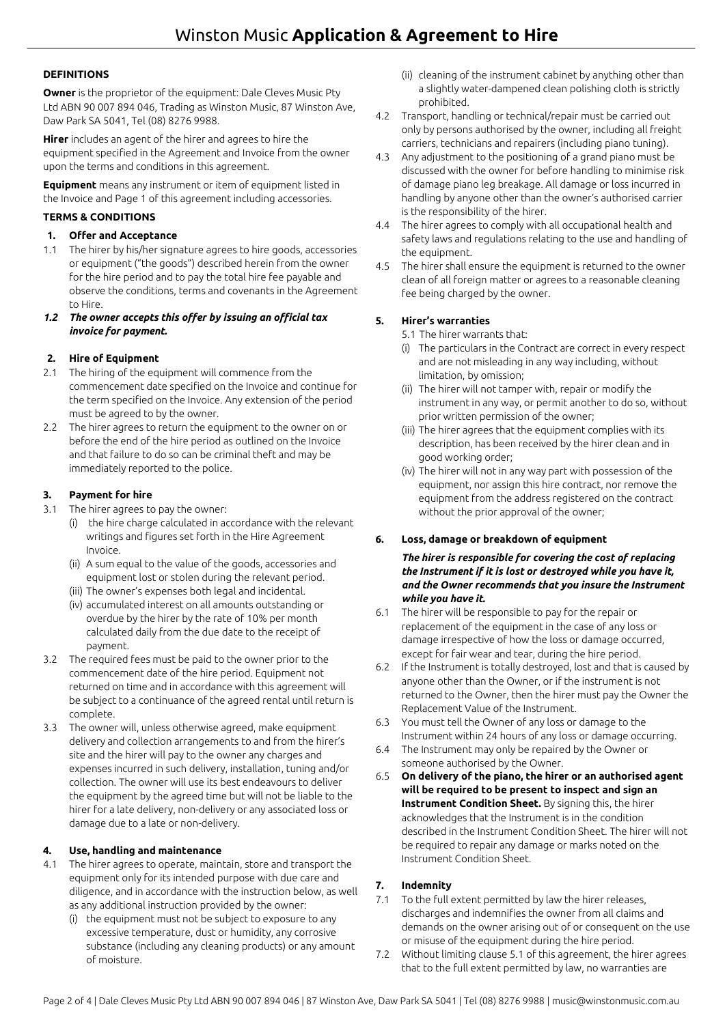# **DEFINITIONS**

**Owner** is the proprietor of the equipment: Dale Cleves Music Pty Ltd ABN 90 007 894 046, Trading as Winston Music, 87 Winston Ave, Daw Park SA 5041, Tel (08) 8276 9988.

**Hirer** includes an agent of the hirer and agrees to hire the equipment specified in the Agreement and Invoice from the owner upon the terms and conditions in this agreement.

**Equipment** means any instrument or item of equipment listed in the Invoice and Page 1 of this agreement including accessories.

# **TERMS & CONDITIONS**

### **1. Offer and Acceptance**

- 1.1 The hirer by his/her signature agrees to hire goods, accessories or equipment ("the goods") described herein from the owner for the hire period and to pay the total hire fee payable and observe the conditions, terms and covenants in the Agreement to Hire.
- *1.2 The owner accepts this offer by issuing an official tax invoice for payment.*

# **2. Hire of Equipment**

- 2.1 The hiring of the equipment will commence from the commencement date specified on the Invoice and continue for the term specified on the Invoice. Any extension of the period must be agreed to by the owner.
- 2.2 The hirer agrees to return the equipment to the owner on or before the end of the hire period as outlined on the Invoice and that failure to do so can be criminal theft and may be immediately reported to the police.

#### **3. Payment for hire**

- 3.1 The hirer agrees to pay the owner:
	- (i) the hire charge calculated in accordance with the relevant writings and figures set forth in the Hire Agreement Invoice.
	- (ii) A sum equal to the value of the goods, accessories and equipment lost or stolen during the relevant period.
	- (iii) The owner's expenses both legal and incidental.
	- (iv) accumulated interest on all amounts outstanding or overdue by the hirer by the rate of 10% per month calculated daily from the due date to the receipt of payment.
- 3.2 The required fees must be paid to the owner prior to the commencement date of the hire period. Equipment not returned on time and in accordance with this agreement will be subject to a continuance of the agreed rental until return is complete.
- 3.3 The owner will, unless otherwise agreed, make equipment delivery and collection arrangements to and from the hirer's site and the hirer will pay to the owner any charges and expenses incurred in such delivery, installation, tuning and/or collection. The owner will use its best endeavours to deliver the equipment by the agreed time but will not be liable to the hirer for a late delivery, non-delivery or any associated loss or damage due to a late or non-delivery.

# **4. Use, handling and maintenance**

- 4.1 The hirer agrees to operate, maintain, store and transport the equipment only for its intended purpose with due care and diligence, and in accordance with the instruction below, as well as any additional instruction provided by the owner:
	- (i) the equipment must not be subject to exposure to any excessive temperature, dust or humidity, any corrosive substance (including any cleaning products) or any amount of moisture.
- (ii) cleaning of the instrument cabinet by anything other than a slightly water-dampened clean polishing cloth is strictly prohibited.
- 4.2 Transport, handling or technical/repair must be carried out only by persons authorised by the owner, including all freight carriers, technicians and repairers (including piano tuning).
- 4.3 Any adjustment to the positioning of a grand piano must be discussed with the owner for before handling to minimise risk of damage piano leg breakage. All damage or loss incurred in handling by anyone other than the owner's authorised carrier is the responsibility of the hirer.
- 4.4 The hirer agrees to comply with all occupational health and safety laws and regulations relating to the use and handling of the equipment.
- 4.5 The hirer shall ensure the equipment is returned to the owner clean of all foreign matter or agrees to a reasonable cleaning fee being charged by the owner.

# **5. Hirer's warranties**

- 5.1 The hirer warrants that:
- (i) The particulars in the Contract are correct in every respect and are not misleading in any way including, without limitation, by omission;
- (ii) The hirer will not tamper with, repair or modify the instrument in any way, or permit another to do so, without prior written permission of the owner;
- (iii) The hirer agrees that the equipment complies with its description, has been received by the hirer clean and in good working order;
- (iv) The hirer will not in any way part with possession of the equipment, nor assign this hire contract, nor remove the equipment from the address registered on the contract without the prior approval of the owner;

#### **6. Loss, damage or breakdown of equipment**

*The hirer is responsible for covering the cost of replacing the Instrument if it is lost or destroyed while you have it, and the Owner recommends that you insure the Instrument while you have it.* 

- 6.1 The hirer will be responsible to pay for the repair or replacement of the equipment in the case of any loss or damage irrespective of how the loss or damage occurred, except for fair wear and tear, during the hire period.
- 6.2 If the Instrument is totally destroyed, lost and that is caused by anyone other than the Owner, or if the instrument is not returned to the Owner, then the hirer must pay the Owner the Replacement Value of the Instrument.
- 6.3 You must tell the Owner of any loss or damage to the Instrument within 24 hours of any loss or damage occurring.
- 6.4 The Instrument may only be repaired by the Owner or someone authorised by the Owner.
- 6.5 **On delivery of the piano, the hirer or an authorised agent will be required to be present to inspect and sign an Instrument Condition Sheet.** By signing this, the hirer acknowledges that the Instrument is in the condition described in the Instrument Condition Sheet. The hirer will not be required to repair any damage or marks noted on the Instrument Condition Sheet.

# **7. Indemnity**

- 7.1 To the full extent permitted by law the hirer releases, discharges and indemnifies the owner from all claims and demands on the owner arising out of or consequent on the use or misuse of the equipment during the hire period.
- 7.2 Without limiting clause 5.1 of this agreement, the hirer agrees that to the full extent permitted by law, no warranties are